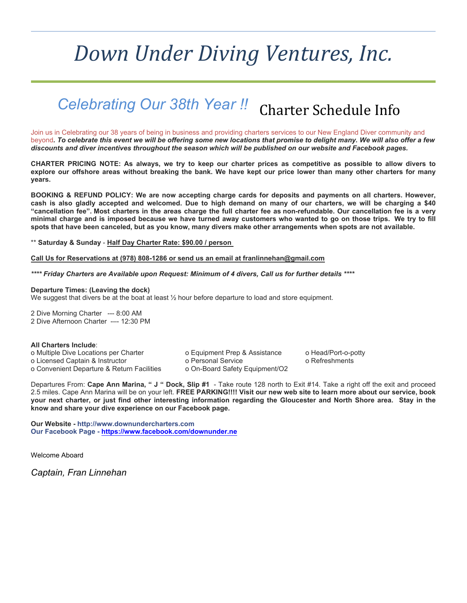# *Down Under Diving Ventures, Inc.*

### Charter Schedule Info *Celebrating Our 38th Year !!*

Join us in Celebrating our 38 years of being in business and providing charters services to our New England Diver community and beyond*. To celebrate this event we will be offering some new locations that promise to delight many. We will also offer a few discounts and diver incentives throughout the season which will be published on our website and Facebook pages.*

**CHARTER PRICING NOTE: As always, we try to keep our charter prices as competitive as possible to allow divers to explore our offshore areas without breaking the bank. We have kept our price lower than many other charters for many years.**

**BOOKING & REFUND POLICY: We are now accepting charge cards for deposits and payments on all charters. However, cash is also gladly accepted and welcomed. Due to high demand on many of our charters, we will be charging a \$40 "cancellation fee". Most charters in the areas charge the full charter fee as non-refundable. Our cancellation fee is a very minimal charge and is imposed because we have turned away customers who wanted to go on those trips. We try to fill spots that have been canceled, but as you know, many divers make other arrangements when spots are not available.**

\*\* **Saturday & Sunday** - **Half Day Charter Rate: \$90.00 / person** 

#### **Call Us for Reservations at (978) 808-1286 or send us an email at franlinnehan@gmail.com**

*\*\*\*\* Friday Charters are Available upon Request: Minimum of 4 divers, Call us for further details \*\*\*\**

#### **Departure Times: (Leaving the dock)**

We suggest that divers be at the boat at least  $\frac{1}{2}$  hour before departure to load and store equipment.

2 Dive Morning Charter --- 8:00 AM 2 Dive Afternoon Charter -–- 12:30 PM

#### **All Charters Include**:

o Multiple Dive Locations per Charter o Equipment Prep & Assistance o Head/Port-o-potty o Licensed Captain & Instructor o Personal Service o Refreshments o Convenient Departure & Return Facilities o On-Board Safety Equipment/O2

Departures From: **Cape Ann Marina, " J " Dock, Slip #1** - Take route 128 north to Exit #14. Take a right off the exit and proceed 2.5 miles. Cape Ann Marina will be on your left. **FREE PARKING!!!! Visit our new web site to learn more about our service, book your next charter, or just find other interesting information regarding the Gloucester and North Shore area. Stay in the know and share your dive experience on our Facebook page.** 

**Our Website - http://www.downundercharters.com Our Facebook Page - https://www.facebook.com/downunder.ne**

Welcome Aboard

*Captain, Fran Linnehan*